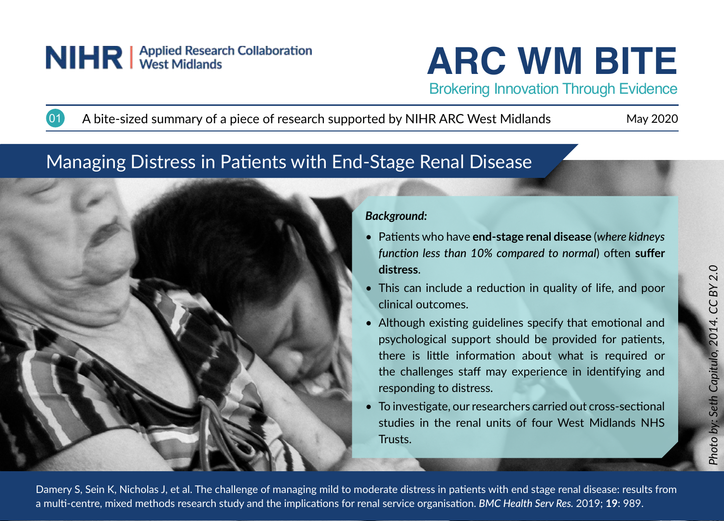# NIHR | Applied Research Collaboration

**ARC WM BITE**

Brokering Innovation Through Evidence

A bite-sized summary of a piece of research supported by NIHR ARC West Midlands May 2020

# Managing Distress in Patients with End-Stage Renal Disease



## *Background:*

- Patients who have **end-stage renal disease** (*where kidneys function less than 10% compared to normal*) often **suffer distress**.
- This can include a reduction in quality of life, and poor clinical outcomes.
- Although existing guidelines specify that emotional and psychological support should be provided for patients, there is little information about what is required or the challenges staff may experience in identifying and responding to distress.
- To investigate, our researchers carried out cross-sectional studies in the renal units of four West Midlands NHS Trusts.

Damery S, Sein K, Nicholas J, et al. The challenge of managing mild to moderate distress in patients with end stage renal disease: results from a multi-centre, mixed methods research study and the implications for renal service organisation. *BMC Health Serv Res.* 2019; **19**: 989.